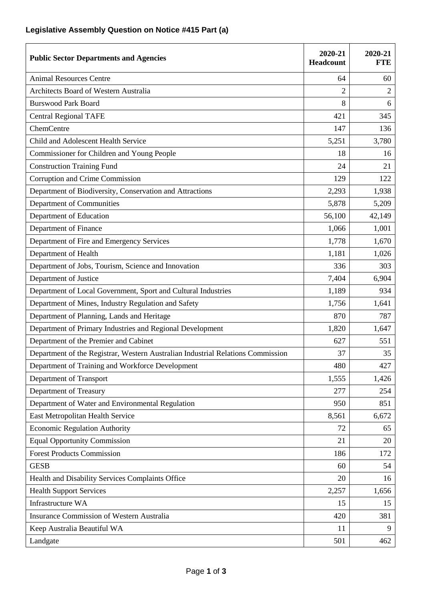## **Legislative Assembly Question on Notice #415 Part (a)**

| <b>Public Sector Departments and Agencies</b>                                   | 2020-21<br>Headcount | 2020-21<br><b>FTE</b> |
|---------------------------------------------------------------------------------|----------------------|-----------------------|
| <b>Animal Resources Centre</b>                                                  | 64                   | 60                    |
| Architects Board of Western Australia                                           | $\overline{2}$       | $\overline{2}$        |
| <b>Burswood Park Board</b>                                                      | 8                    | 6                     |
| <b>Central Regional TAFE</b>                                                    | 421                  | 345                   |
| ChemCentre                                                                      | 147                  | 136                   |
| Child and Adolescent Health Service                                             | 5,251                | 3,780                 |
| Commissioner for Children and Young People                                      | 18                   | 16                    |
| <b>Construction Training Fund</b>                                               | 24                   | 21                    |
| Corruption and Crime Commission                                                 | 129                  | 122                   |
| Department of Biodiversity, Conservation and Attractions                        | 2,293                | 1,938                 |
| Department of Communities                                                       | 5,878                | 5,209                 |
| Department of Education                                                         | 56,100               | 42,149                |
| Department of Finance                                                           | 1,066                | 1,001                 |
| Department of Fire and Emergency Services                                       | 1,778                | 1,670                 |
| Department of Health                                                            | 1,181                | 1,026                 |
| Department of Jobs, Tourism, Science and Innovation                             | 336                  | 303                   |
| Department of Justice                                                           | 7,404                | 6,904                 |
| Department of Local Government, Sport and Cultural Industries                   | 1,189                | 934                   |
| Department of Mines, Industry Regulation and Safety                             | 1,756                | 1,641                 |
| Department of Planning, Lands and Heritage                                      | 870                  | 787                   |
| Department of Primary Industries and Regional Development                       | 1,820                | 1,647                 |
| Department of the Premier and Cabinet                                           | 627                  | 551                   |
| Department of the Registrar, Western Australian Industrial Relations Commission | 37                   | 35                    |
| Department of Training and Workforce Development                                | 480                  | 427                   |
| Department of Transport                                                         | 1,555                | 1,426                 |
| Department of Treasury                                                          | 277                  | 254                   |
| Department of Water and Environmental Regulation                                | 950                  | 851                   |
| East Metropolitan Health Service                                                | 8,561                | 6,672                 |
| <b>Economic Regulation Authority</b>                                            | 72                   | 65                    |
| <b>Equal Opportunity Commission</b>                                             | 21                   | 20                    |
| <b>Forest Products Commission</b>                                               | 186                  | 172                   |
| <b>GESB</b>                                                                     | 60                   | 54                    |
| Health and Disability Services Complaints Office                                | 20                   | 16                    |
| <b>Health Support Services</b>                                                  | 2,257                | 1,656                 |
| Infrastructure WA                                                               | 15                   | 15                    |
| <b>Insurance Commission of Western Australia</b>                                | 420                  | 381                   |
| Keep Australia Beautiful WA                                                     | 11                   | 9                     |
| Landgate                                                                        | 501                  | 462                   |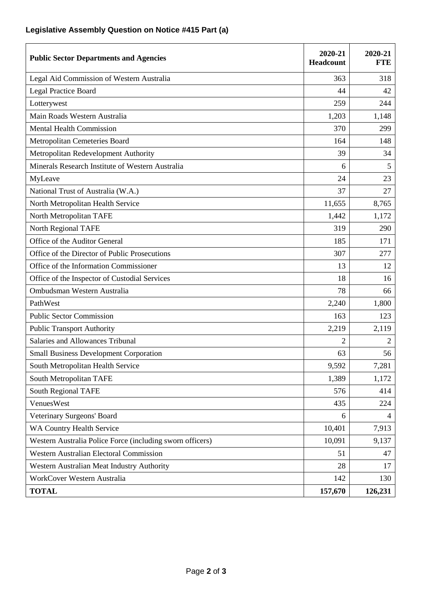## **Legislative Assembly Question on Notice #415 Part (a)**

| <b>Public Sector Departments and Agencies</b>             | 2020-21<br>Headcount | 2020-21<br><b>FTE</b> |
|-----------------------------------------------------------|----------------------|-----------------------|
| Legal Aid Commission of Western Australia                 | 363                  | 318                   |
| <b>Legal Practice Board</b>                               | 44                   | 42                    |
| Lotterywest                                               | 259                  | 244                   |
| Main Roads Western Australia                              | 1,203                | 1,148                 |
| <b>Mental Health Commission</b>                           | 370                  | 299                   |
| Metropolitan Cemeteries Board                             | 164                  | 148                   |
| Metropolitan Redevelopment Authority                      | 39                   | 34                    |
| Minerals Research Institute of Western Australia          | 6                    | 5                     |
| MyLeave                                                   | 24                   | 23                    |
| National Trust of Australia (W.A.)                        | 37                   | 27                    |
| North Metropolitan Health Service                         | 11,655               | 8,765                 |
| North Metropolitan TAFE                                   | 1,442                | 1,172                 |
| North Regional TAFE                                       | 319                  | 290                   |
| Office of the Auditor General                             | 185                  | 171                   |
| Office of the Director of Public Prosecutions             | 307                  | 277                   |
| Office of the Information Commissioner                    | 13                   | 12                    |
| Office of the Inspector of Custodial Services             | 18                   | 16                    |
| Ombudsman Western Australia                               | 78                   | 66                    |
| PathWest                                                  | 2,240                | 1,800                 |
| <b>Public Sector Commission</b>                           | 163                  | 123                   |
| <b>Public Transport Authority</b>                         | 2,219                | 2,119                 |
| Salaries and Allowances Tribunal                          | 2                    | 2                     |
| <b>Small Business Development Corporation</b>             | 63                   | 56                    |
| South Metropolitan Health Service                         | 9,592                | 7,281                 |
| South Metropolitan TAFE                                   | 1,389                | 1,172                 |
| South Regional TAFE                                       | 576                  | 414                   |
| VenuesWest                                                | 435                  | 224                   |
| Veterinary Surgeons' Board                                | 6                    | 4                     |
| WA Country Health Service                                 | 10,401               | 7,913                 |
| Western Australia Police Force (including sworn officers) | 10,091               | 9,137                 |
| <b>Western Australian Electoral Commission</b>            | 51                   | 47                    |
| Western Australian Meat Industry Authority                | 28                   | 17                    |
| WorkCover Western Australia                               | 142                  | 130                   |
| <b>TOTAL</b>                                              | 157,670              | 126,231               |